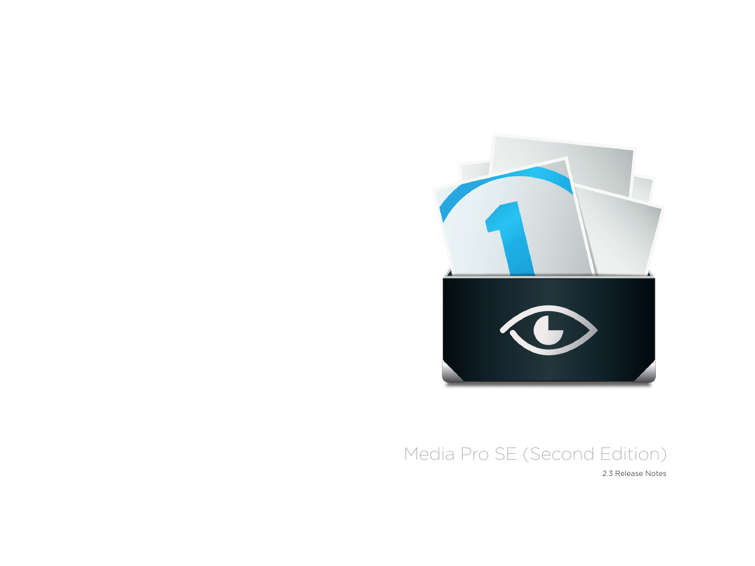

2.3 Release Notes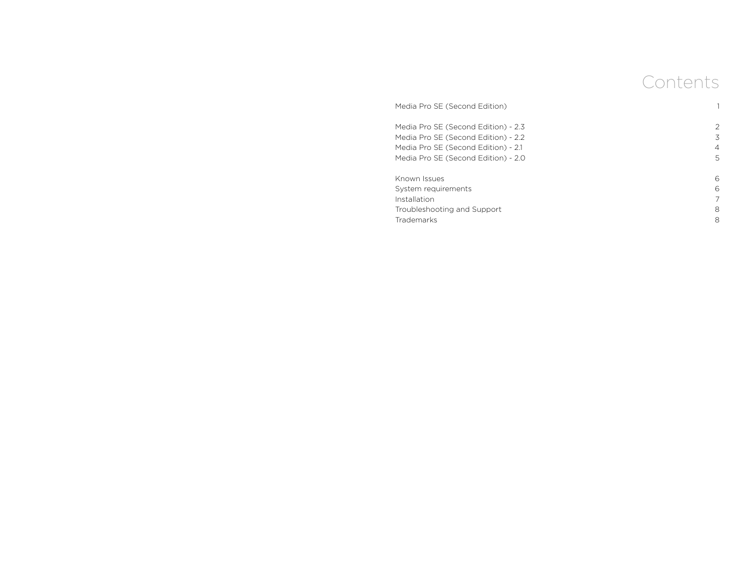# Contents

| Media Pro SE (Second Edition)       |                |
|-------------------------------------|----------------|
| Media Pro SE (Second Edition) - 2.3 | 2              |
| Media Pro SE (Second Edition) - 2.2 | 3              |
| Media Pro SE (Second Edition) - 2.1 | $\overline{4}$ |
| Media Pro SE (Second Edition) - 2.0 | 5              |
| Known Issues                        | 6              |
| System requirements                 | 6              |
| Installation                        |                |
| Troubleshooting and Support         | 8              |
| <b>Trademarks</b>                   | 8              |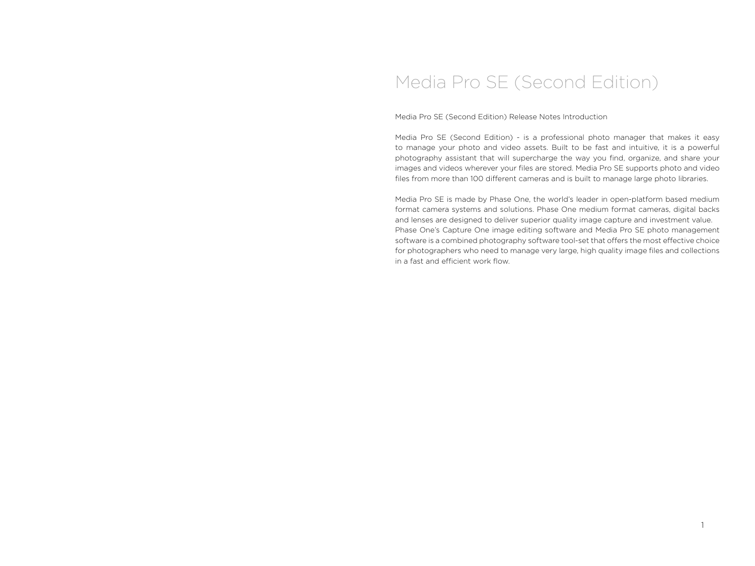Media Pro SE (Second Edition) Release Notes Introduction

Media Pro SE (Second Edition) - is a professional photo manager that makes it easy to manage your photo and video assets. Built to be fast and intuitive, it is a powerful photography assistant that will supercharge the way you find, organize, and share your images and videos wherever your files are stored. Media Pro SE supports photo and video files from more than 100 different cameras and is built to manage large photo libraries.

Media Pro SE is made by Phase One, the world's leader in open-platform based medium format camera systems and solutions. Phase One medium format cameras, digital backs and lenses are designed to deliver superior quality image capture and investment value. Phase One's Capture One image editing software and Media Pro SE photo management software is a combined photography software tool-set that offers the most effective choice for photographers who need to manage very large, high quality image files and collections in a fast and efficient work flow.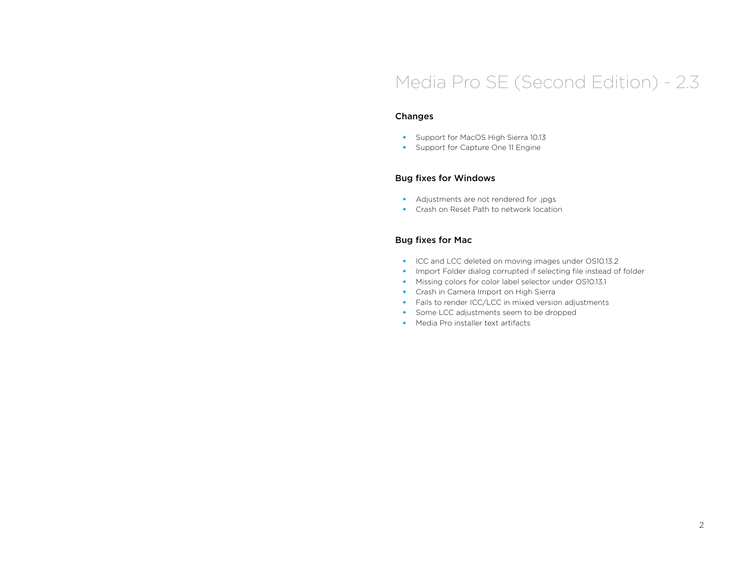### Changes

- Support for MacOS High Sierra 10.13
- Support for Capture One 11 Engine

### Bug fixes for Windows

- Adjustments are not rendered for .jpgs
- Crash on Reset Path to network location

- ICC and LCC deleted on moving images under OS10.13.2
- Import Folder dialog corrupted if selecting file instead of folder
- Missing colors for color label selector under OS10.13.1
- Crash in Camera Import on High Sierra
- Fails to render ICC/LCC in mixed version adjustments
- Some LCC adjustments seem to be dropped
- Media Pro installer text artifacts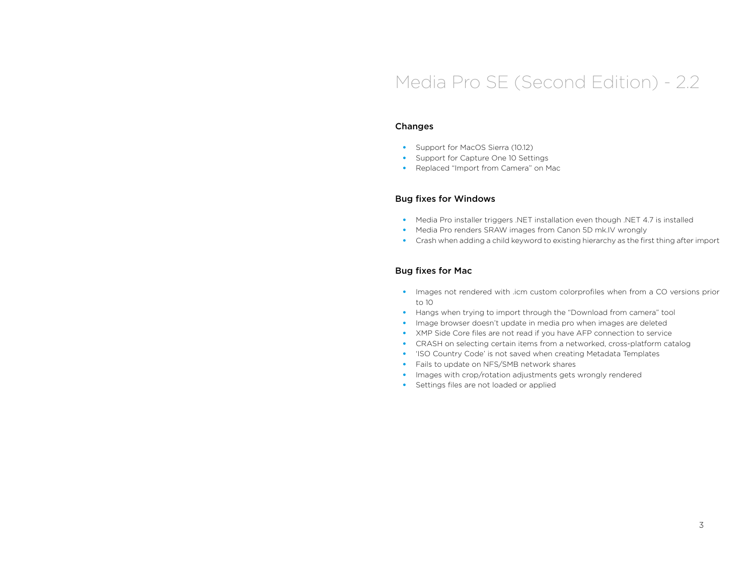#### Changes

- Support for MacOS Sierra (10.12)
- Support for Capture One 10 Settings
- Replaced "Import from Camera" on Mac

#### Bug fixes for Windows

- Media Pro installer triggers .NET installation even though .NET 4.7 is installed
- Media Pro renders SRAW images from Canon 5D mk.IV wrongly
- Crash when adding a child keyword to existing hierarchy as the first thing after import

- Images not rendered with .icm custom colorprofiles when from a CO versions prior to 10
- Hangs when trying to import through the "Download from camera" tool
- Image browser doesn't update in media pro when images are deleted
- XMP Side Core files are not read if you have AFP connection to service
- CRASH on selecting certain items from a networked, cross-platform catalog
- 'ISO Country Code' is not saved when creating Metadata Templates
- Fails to update on NFS/SMB network shares
- Images with crop/rotation adjustments gets wrongly rendered
- Settings files are not loaded or applied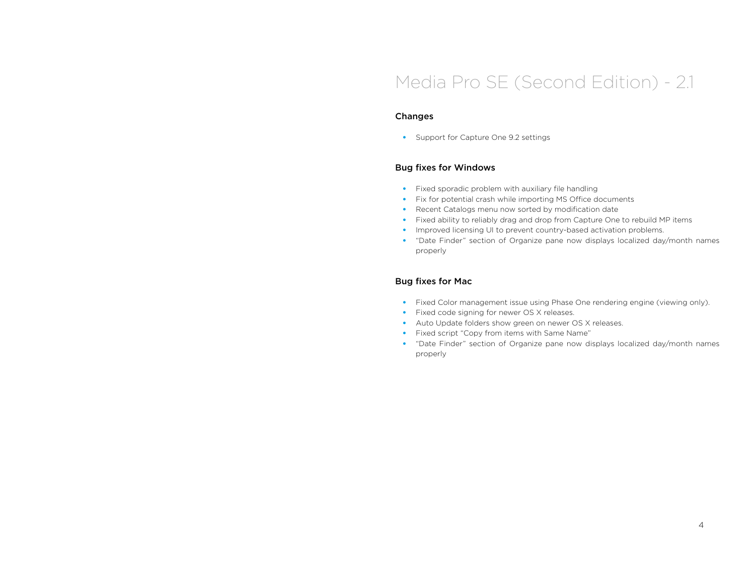### Changes

• Support for Capture One 9.2 settings

### Bug fixes for Windows

- Fixed sporadic problem with auxiliary file handling
- Fix for potential crash while importing MS Office documents
- Recent Catalogs menu now sorted by modification date
- Fixed ability to reliably drag and drop from Capture One to rebuild MP items
- Improved licensing UI to prevent country-based activation problems.
- "Date Finder" section of Organize pane now displays localized day/month names properly

- Fixed Color management issue using Phase One rendering engine (viewing only).
- Fixed code signing for newer OS X releases.
- Auto Update folders show green on newer OS X releases.
- Fixed script "Copy from items with Same Name"
- "Date Finder" section of Organize pane now displays localized day/month names properly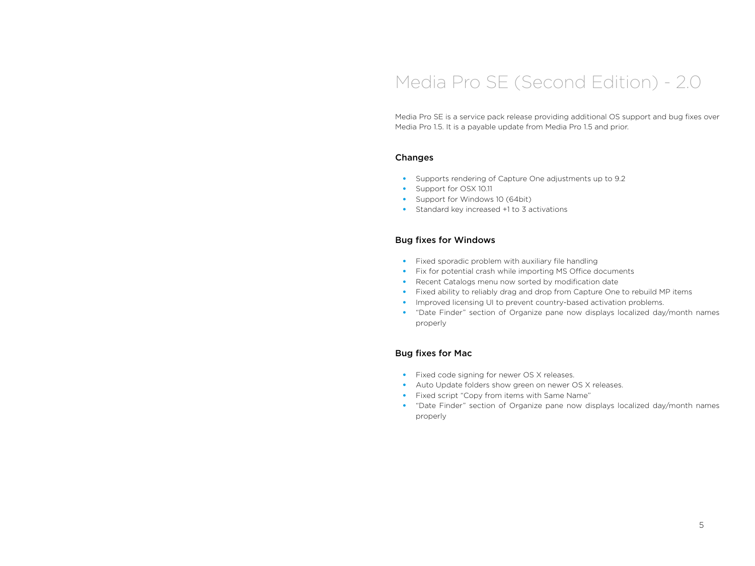Media Pro SE is a service pack release providing additional OS support and bug fixes over Media Pro 1.5. It is a payable update from Media Pro 1.5 and prior.

#### Changes

- Supports rendering of Capture One adjustments up to 9.2
- Support for OSX 10.11
- Support for Windows 10 (64bit)
- Standard key increased +1 to 3 activations

### Bug fixes for Windows

- Fixed sporadic problem with auxiliary file handling
- Fix for potential crash while importing MS Office documents
- Recent Catalogs menu now sorted by modification date
- Fixed ability to reliably drag and drop from Capture One to rebuild MP items
- Improved licensing UI to prevent country-based activation problems.
- "Date Finder" section of Organize pane now displays localized day/month names properly

- Fixed code signing for newer OS X releases.
- Auto Update folders show green on newer OS X releases.
- Fixed script "Copy from items with Same Name"
- "Date Finder" section of Organize pane now displays localized day/month names properly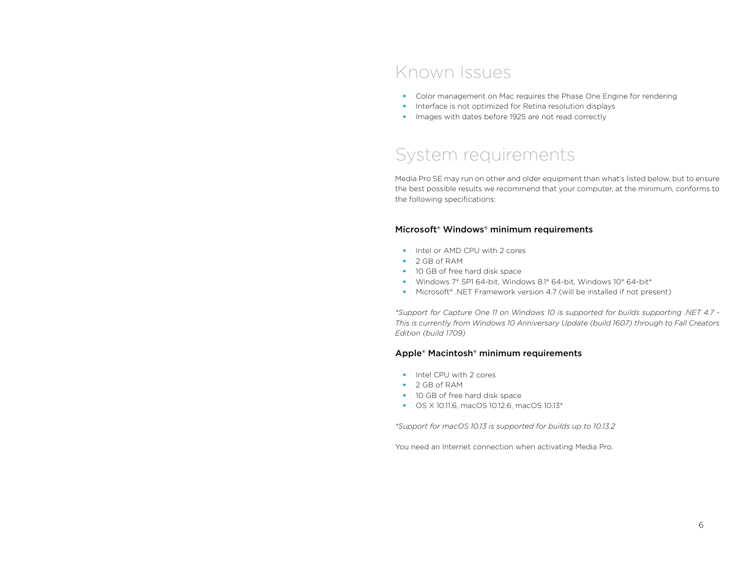### Known Issues

- Color management on Mac requires the Phase One Engine for rendering
- Interface is not optimized for Retina resolution displays
- Images with dates before 1925 are not read correctly

### System requirements

Media Pro SE may run on other and older equipment than what's listed below, but to ensure the best possible results we recommend that your computer, at the minimum, conforms to the following specifications:

### Microsoft® Windows® minimum requirements

- Intel or AMD CPU with 2 cores
- 2 GB of RAM
- 10 GB of free hard disk space
- Windows 7® SP1 64-bit, Windows 8.1® 64-bit, Windows 10® 64-bit\*
- Microsoft<sup>®</sup> .NET Framework version 4.7 (will be installed if not present)

*\*Support for Capture One 11 on Windows 10 is supported for builds supporting .NET 4.7 - This is currently from Windows 10 Anniversary Update (build 1607) through to Fall Creators Edition (build 1709)*

#### Apple® Macintosh® minimum requirements

- Intel CPU with 2 cores
- 2 GB of RAM
- 10 GB of free hard disk space
- OS X 10.11.6, macOS 10.12.6, macOS 10.13\*

*\*Support for macOS 10.13 is supported for builds up to 10.13.2*

You need an Internet connection when activating Media Pro.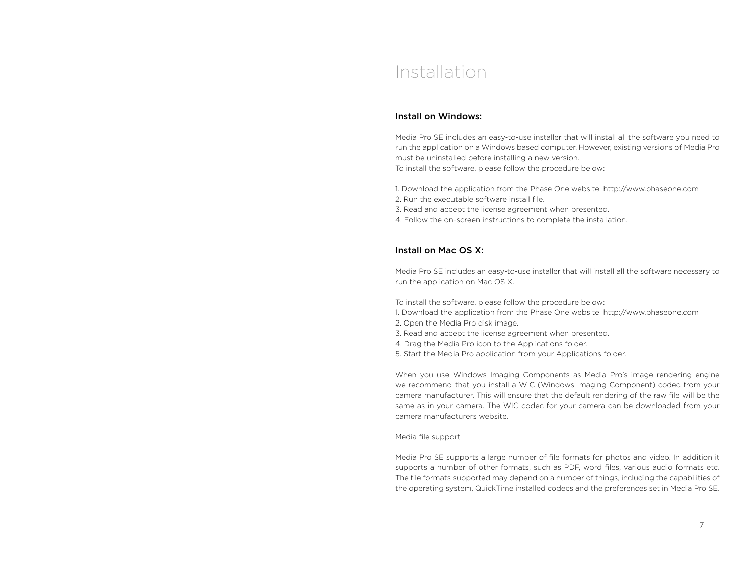### Installation

### Install on Windows:

Media Pro SE includes an easy-to-use installer that will install all the software you need to run the application on a Windows based computer. However, existing versions of Media Pro must be uninstalled before installing a new version. To install the software, please follow the procedure below:

1. Download the application from the Phase One website: http://www.phaseone.com

- 2. Run the executable software install file.
- 3. Read and accept the license agreement when presented.
- 4. Follow the on-screen instructions to complete the installation.

### Install on Mac OS X:

Media Pro SE includes an easy-to-use installer that will install all the software necessary to run the application on Mac OS X.

To install the software, please follow the procedure below:

- 1. Download the application from the Phase One website: http://www.phaseone.com
- 2. Open the Media Pro disk image.
- 3. Read and accept the license agreement when presented.
- 4. Drag the Media Pro icon to the Applications folder.
- 5. Start the Media Pro application from your Applications folder.

When you use Windows Imaging Components as Media Pro's image rendering engine we recommend that you install a WIC (Windows Imaging Component) codec from your camera manufacturer. This will ensure that the default rendering of the raw file will be the same as in your camera. The WIC codec for your camera can be downloaded from your camera manufacturers website.

#### Media file support

Media Pro SE supports a large number of file formats for photos and video. In addition it supports a number of other formats, such as PDF, word files, various audio formats etc. The file formats supported may depend on a number of things, including the capabilities of the operating system, QuickTime installed codecs and the preferences set in Media Pro SE.